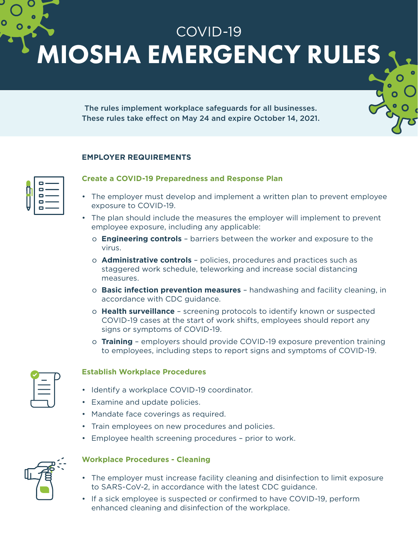COVID-19 MIOSHA EMERGENCY RULES

> The rules implement workplace safeguards for all businesses. These rules take effect on May 24 and expire October 14, 2021.

## **EMPLOYER REQUIREMENTS**

| <b>0 ——</b><br>о<br>$\sim$     |
|--------------------------------|
| о<br>$\sim$<br>o —<br>c<br>___ |

# **Create a COVID-19 Preparedness and Response Plan**

- The employer must develop and implement a written plan to prevent employee exposure to COVID-19.
- The plan should include the measures the employer will implement to prevent employee exposure, including any applicable:
	- o **Engineering controls** barriers between the worker and exposure to the virus.
	- o **Administrative controls** policies, procedures and practices such as staggered work schedule, teleworking and increase social distancing measures.
	- o **Basic infection prevention measures** handwashing and facility cleaning, in accordance with CDC guidance.
	- o **Health surveillance** screening protocols to identify known or suspected COVID-19 cases at the start of work shifts, employees should report any signs or symptoms of COVID-19.
	- o **Training** employers should provide COVID-19 exposure prevention training to employees, including steps to report signs and symptoms of COVID-19.

#### **Establish Workplace Procedures**

- Identify a workplace COVID-19 coordinator.
- Examine and update policies.
- Mandate face coverings as required.
- Train employees on new procedures and policies.
- Employee health screening procedures prior to work.



# **Workplace Procedures - Cleaning**

- The employer must increase facility cleaning and disinfection to limit exposure to SARS-CoV-2, in accordance with the latest CDC guidance.
- If a sick employee is suspected or confirmed to have COVID-19, perform enhanced cleaning and disinfection of the workplace.